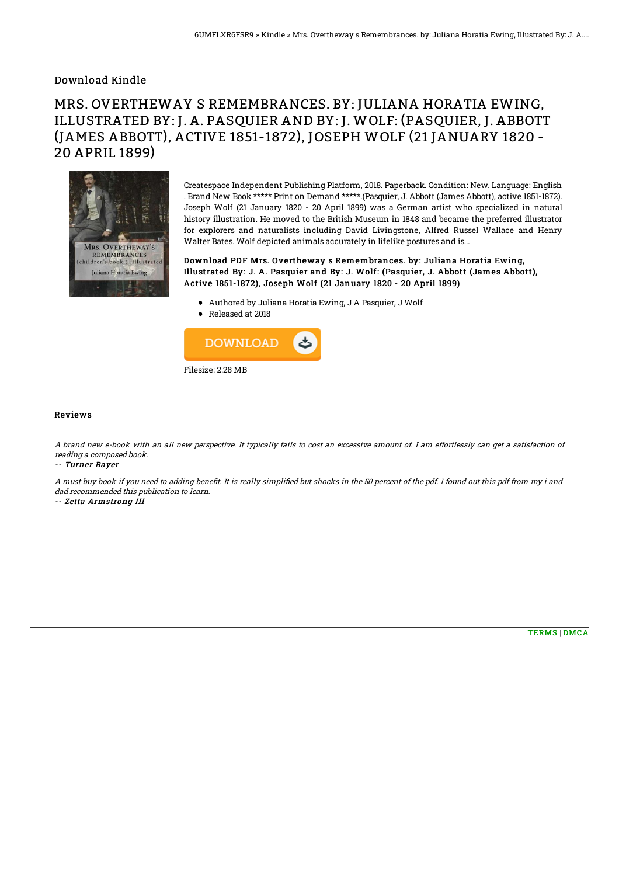## Download Kindle

## MRS. OVERTHEWAY S REMEMBRANCES. BY: JULIANA HORATIA EWING, ILLUSTRATED BY: J. A. PASQUIER AND BY: J. WOLF: (PASQUIER, J. ABBOTT (JAMES ABBOTT), ACTIVE 1851-1872), JOSEPH WOLF (21 JANUARY 1820 - 20 APRIL 1899)



Createspace Independent Publishing Platform, 2018. Paperback. Condition: New. Language: English . Brand New Book \*\*\*\*\* Print on Demand \*\*\*\*\*.(Pasquier, J. Abbott (James Abbott), active 1851-1872). Joseph Wolf (21 January 1820 - 20 April 1899) was a German artist who specialized in natural history illustration. He moved to the British Museum in 1848 and became the preferred illustrator for explorers and naturalists including David Livingstone, Alfred Russel Wallace and Henry Walter Bates. Wolf depicted animals accurately in lifelike postures and is...

Download PDF Mrs. Overtheway s Remembrances. by: Juliana Horatia Ewing, Illust rated By: J. A. Pasquier and By: J. Wolf: (Pasquier, J. Abbott (James Abbott), Active 1851-1872), Joseph Wolf (21 January 1820 - 20 April 1899)

- Authored by Juliana Horatia Ewing, J A Pasquier, J Wolf
- Released at 2018



## Reviews

A brand new e-book with an all new perspective. It typically fails to cost an excessive amount of. I am effortlessly can get <sup>a</sup> satisfaction of reading <sup>a</sup> composed book.

-- Turner Bayer

A must buy book if you need to adding benefit. It is really simplified but shocks in the 50 percent of the pdf. I found out this pdf from my i and dad recommended this publication to learn.

-- Zetta Armstrong III